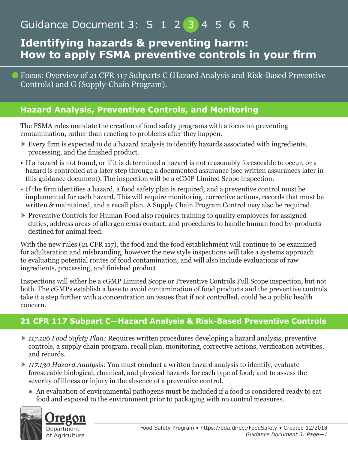# Guidance Document 3: S 1 2 3 4 5 6 R

### **Identifying hazards & preventing harm: How to apply FSMA preventive controls in your firm**

Focus: Overview of 21 CFR 117 Subparts C (Hazard Analysis and Risk-Based Preventive Controls) and G (Supply-Chain Program).

#### **Hazard Analysis, Preventive Controls, and Monitoring**

The FSMA rules mandate the creation of food safety programs with a focus on preventing contamination, rather than reacting to problems after they happen.

- Every firm is expected to do a hazard analysis to identify hazards associated with ingredients, processing, and the finished product.
- If a hazard is not found, or if it is determined a hazard is not reasonably foreseeable to occur, or a hazard is controlled at a later step through a documented assurance (see written assurances later in this guidance document). The inspection will be a cGMP Limited Scope inspection.
- If the firm identifies a hazard, a food safety plan is required, and a preventive control must be implemented for each hazard. This will require monitoring, corrective actions, records that must be written & maintained, and a recall plan. A Supply Chain Program Control may also be required.
- Preventive Controls for Human Food also requires training to qualify employees for assigned duties, address areas of allergen cross contact, and procedures to handle human food by-products destined for animal feed.

With the new rules (21 CFR 117), the food and the food establishment will continue to be examined for adulteration and misbranding, however the new style inspections will take a systems approach to evaluating potential routes of food contamination, and will also include evaluations of raw ingredients, processing, and finished product.

Inspections will either be a cGMP Limited Scope or Preventive Controls Full Scope inspection, but not both. The cGMPs establish a base to avoid contamination of food products and the preventive controls take it a step further with a concentration on issues that if not controlled, could be a public health concern.

#### **21 CFR 117 Subpart C—Hazard Analysis & Risk-Based Preventive Controls**

- *117.126 Food Safety Plan:* Requires written procedures developing a hazard analysis, preventive controls, a supply chain program, recall plan, monitoring, corrective actions, verification activities, and records.
- *117.130 Hazard Analysis:* You must conduct a written hazard analysis to identify, evaluate foreseeable biological, chemical, and physical hazards for each type of food; and to assess the severity of illness or injury in the absence of a preventive control.
	- An evaluation of environmental pathogens must be included if a food is considered ready to eat food and exposed to the environment prior to packaging with no control measures.

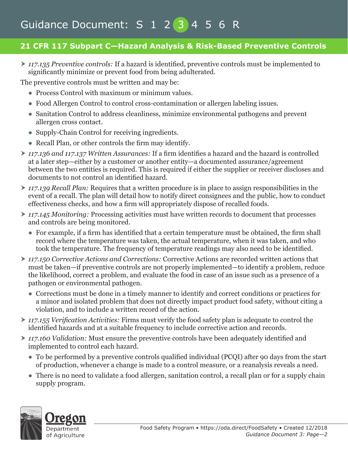# Guidance Document: S 1 2 3 4 5 6 R

#### **21 CFR 117 Subpart C—Hazard Analysis & Risk-Based Preventive Controls**

 *117.135 Preventive controls:* If a hazard is identified, preventive controls must be implemented to significantly minimize or prevent food from being adulterated.

The preventive controls must be written and may be:

- Process Control with maximum or minimum values.
- Food Allergen Control to control cross-contamination or allergen labeling issues.
- Sanitation Control to address cleanliness, minimize environmental pathogens and prevent allergen cross contact.
- Supply-Chain Control for receiving ingredients.
- Recall Plan, or other controls the firm may identify.
- *117.136 and 117.137 Written Assurances:* If a firm identifies a hazard and the hazard is controlled at a later step—either by a customer or another entity—a documented assurance/agreement between the two entities is required. This is required if either the supplier or receiver discloses and documents to not control an identified hazard.
- *117.139 Recall Plan:* Requires that a written procedure is in place to assign responsibilities in the event of a recall. The plan will detail how to notify direct consignees and the public, how to conduct effectiveness checks, and how a firm will appropriately dispose of recalled foods.
- *117.145 Monitoring:* Processing activities must have written records to document that processes and controls are being monitored.
	- For example, if a firm has identified that a certain temperature must be obtained, the firm shall record where the temperature was taken, the actual temperature, when it was taken, and who took the temperature. The frequency of temperature readings may also need to be identified.
- *117.150 Corrective Actions and Corrections:* Corrective Actions are recorded written actions that must be taken—if preventive controls are not properly implemented—to identify a problem, reduce the likelihood, correct a problem, and evaluate the food in case of an issue such as a presence of a pathogen or environmental pathogen.
	- Corrections must be done in a timely manner to identify and correct conditions or practices for a minor and isolated problem that does not directly impact product food safety, without citing a violation, and to include a written record of the action.
- *117.155 Verification Activities:* Firms must verify the food safety plan is adequate to control the identified hazards and at a suitable frequency to include corrective action and records.
- *117.160 Validation:* Must ensure the preventive controls have been adequately identified and implemented to control each hazard.
	- To be performed by a preventive controls qualified individual (PCQI) after 90 days from the start of production, whenever a change is made to a control measure, or a reanalysis reveals a need.
	- There is no need to validate a food allergen, sanitation control, a recall plan or for a supply chain supply program.

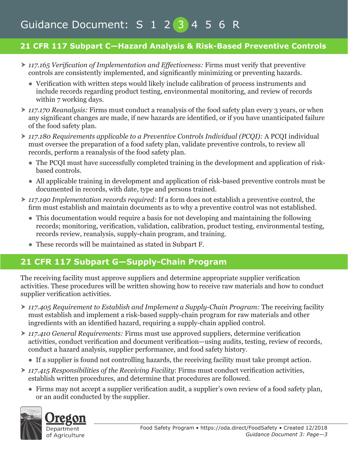# Guidance Document: S 1 2 3 4 5 6 R

#### **21 CFR 117 Subpart C—Hazard Analysis & Risk-Based Preventive Controls**

- *117.165 Verification of Implementation and Effectiveness:* Firms must verify that preventive controls are consistently implemented, and significantly minimizing or preventing hazards.
	- Verification with written steps would likely include calibration of process instruments and include records regarding product testing, environmental monitoring, and review of records within 7 working days.
- ▶ 117.170 *Reanalysis:* Firms must conduct a reanalysis of the food safety plan every 3 years, or when any significant changes are made, if new hazards are identified, or if you have unanticipated failure of the food safety plan.
- *117.180 Requirements applicable to a Preventive Controls Individual (PCQI):* A PCQI individual must oversee the preparation of a food safety plan, validate preventive controls, to review all records, perform a reanalysis of the food safety plan.
	- The PCOI must have successfully completed training in the development and application of riskbased controls.
	- All applicable training in development and application of risk-based preventive controls must be documented in records, with date, type and persons trained.
- *117.190 Implementation records required:* If a form does not establish a preventive control, the firm must establish and maintain documents as to why a preventive control was not established.
	- This documentation would require a basis for not developing and maintaining the following records; monitoring, verification, validation, calibration, product testing, environmental testing, records review, reanalysis, supply-chain program, and training.
	- These records will be maintained as stated in Subpart F.

### **21 CFR 117 Subpart G—Supply-Chain Program**

The receiving facility must approve suppliers and determine appropriate supplier verification activities. These procedures will be written showing how to receive raw materials and how to conduct supplier verification activities.

- *117.405 Requirement to Establish and Implement a Supply-Chain Program:* The receiving facility must establish and implement a risk-based supply-chain program for raw materials and other ingredients with an identified hazard, requiring a supply-chain applied control.
- *117.410 General Requirements:* Firms must use approved suppliers, determine verification activities, conduct verification and document verification—using audits, testing, review of records, conduct a hazard analysis, supplier performance, and food safety history.
	- If a supplier is found not controlling hazards, the receiving facility must take prompt action.
- *117.415 Responsibilities of the Receiving Facility*: Firms must conduct verification activities, establish written procedures, and determine that procedures are followed.
	- Firms may not accept a supplier verification audit, a supplier's own review of a food safety plan, or an audit conducted by the supplier.